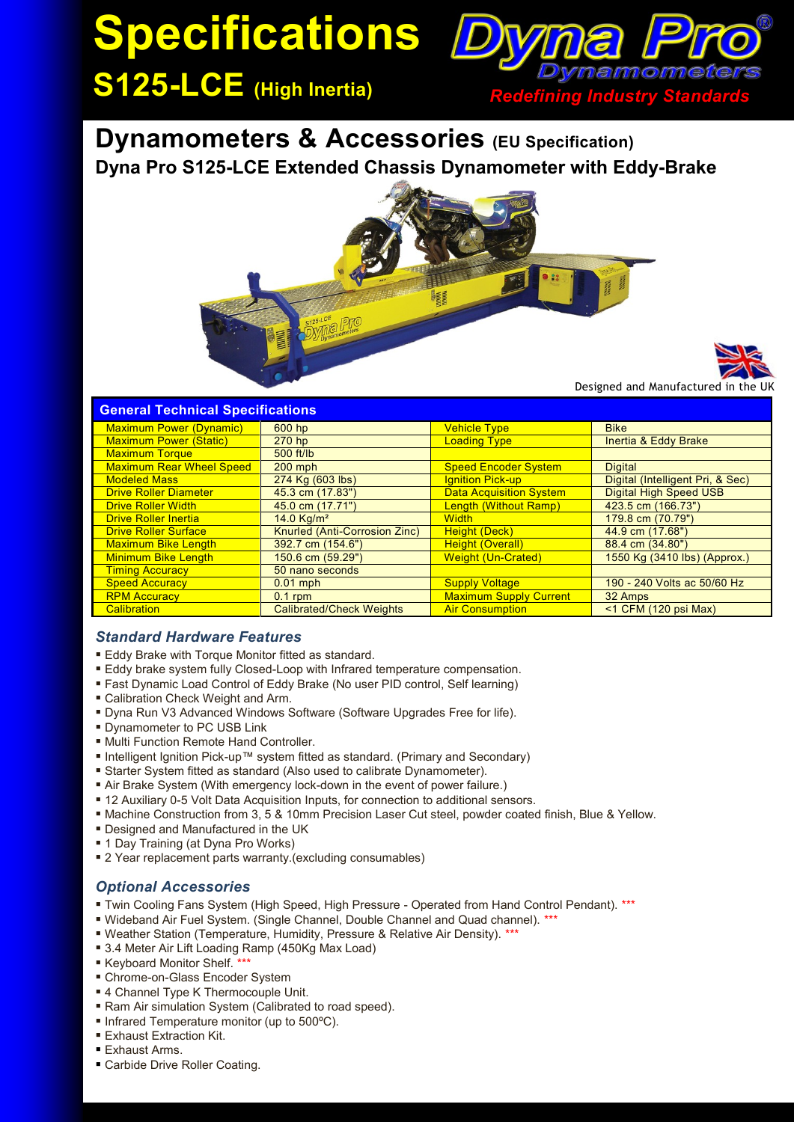# **Specifications Dy**



**Dynamometers & Accessories (EU Specification) Dyna Pro S125-LCE Extended Chassis Dynamometer with Eddy-Brake**



Designed and Manufactured in

## **General Technical Specifications**

| <b>Maximum Power (Dynamic)</b>  | 600 hp                          | <b>Vehicle Type</b>            | <b>Bike</b>                      |
|---------------------------------|---------------------------------|--------------------------------|----------------------------------|
| <b>Maximum Power (Static)</b>   | 270 <sub>hp</sub>               | <b>Loading Type</b>            | Inertia & Eddy Brake             |
| <b>Maximum Torque</b>           | 500 ft/lb                       |                                |                                  |
| <b>Maximum Rear Wheel Speed</b> | $200$ mph                       | <b>Speed Encoder System</b>    | <b>Digital</b>                   |
| <b>Modeled Mass</b>             | 274 Kg (603 lbs)                | Ignition Pick-up               | Digital (Intelligent Pri, & Sec) |
| <b>Drive Roller Diameter</b>    | 45.3 cm (17.83")                | <b>Data Acquisition System</b> | <b>Digital High Speed USB</b>    |
| <b>Drive Roller Width</b>       | 45.0 cm (17.71")                | <b>Length (Without Ramp)</b>   | 423.5 cm (166.73")               |
| <b>Drive Roller Inertia</b>     | 14.0 $Ka/m2$                    | <b>Width</b>                   | 179.8 cm (70.79")                |
| <b>Drive Roller Surface</b>     | Knurled (Anti-Corrosion Zinc)   | <b>Height (Deck)</b>           | 44.9 cm (17.68")                 |
| <b>Maximum Bike Length</b>      | 392.7 cm (154.6")               | <b>Height (Overall)</b>        | 88.4 cm (34.80")                 |
| <b>Minimum Bike Length</b>      | 150.6 cm (59.29")               | <b>Weight (Un-Crated)</b>      | 1550 Kg (3410 lbs) (Approx.)     |
| <b>Timing Accuracy</b>          | 50 nano seconds                 |                                |                                  |
| <b>Speed Accuracy</b>           | $0.01$ mph                      | <b>Supply Voltage</b>          | 190 - 240 Volts ac 50/60 Hz      |
| <b>RPM Accuracy</b>             | $0.1$ rpm                       | <b>Maximum Supply Current</b>  | 32 Amps                          |
| <b>Calibration</b>              | <b>Calibrated/Check Weights</b> | <b>Air Consumption</b>         | $<$ 1 CFM (120 psi Max)          |

## *Standard Hardware Features*

- Eddy Brake with Torque Monitor fitted as standard.
- Eddy brake system fully Closed-Loop with Infrared temperature compensation.
- Fast Dynamic Load Control of Eddy Brake (No user PID control, Self learning)
- Calibration Check Weight and Arm.
- Dyna Run V3 Advanced Windows Software (Software Upgrades Free for life).
- **Dynamometer to PC USB Link**
- Multi Function Remote Hand Controller.
- Intelligent Ignition Pick-up™ system fitted as standard. (Primary and Secondary)
- Starter System fitted as standard (Also used to calibrate Dynamometer).
- Air Brake System (With emergency lock-down in the event of power failure.)
- 12 Auxiliary 0-5 Volt Data Acquisition Inputs, for connection to additional sensors.
- Machine Construction from 3, 5 & 10mm Precision Laser Cut steel, powder coated finish, Blue & Yellow.
- Designed and Manufactured in the UK
- 1 Day Training (at Dyna Pro Works)
- 2 Year replacement parts warranty.(excluding consumables)

## *Optional Accessories*

- Twin Cooling Fans System (High Speed, High Pressure Operated from Hand Control Pendant). \*\*\*
- Wideband Air Fuel System. (Single Channel, Double Channel and Quad channel). \*\*\*
- Weather Station (Temperature, Humidity, Pressure & Relative Air Density). \*\*\*
- 3.4 Meter Air Lift Loading Ramp (450Kg Max Load)
- Keyboard Monitor Shelf.
- Chrome-on-Glass Encoder System
- 4 Channel Type K Thermocouple Unit.
- Ram Air simulation System (Calibrated to road speed).
- Infrared Temperature monitor (up to 500°C).
- **Exhaust Extraction Kit.**
- **Exhaust Arms.**
- Carbide Drive Roller Coating.